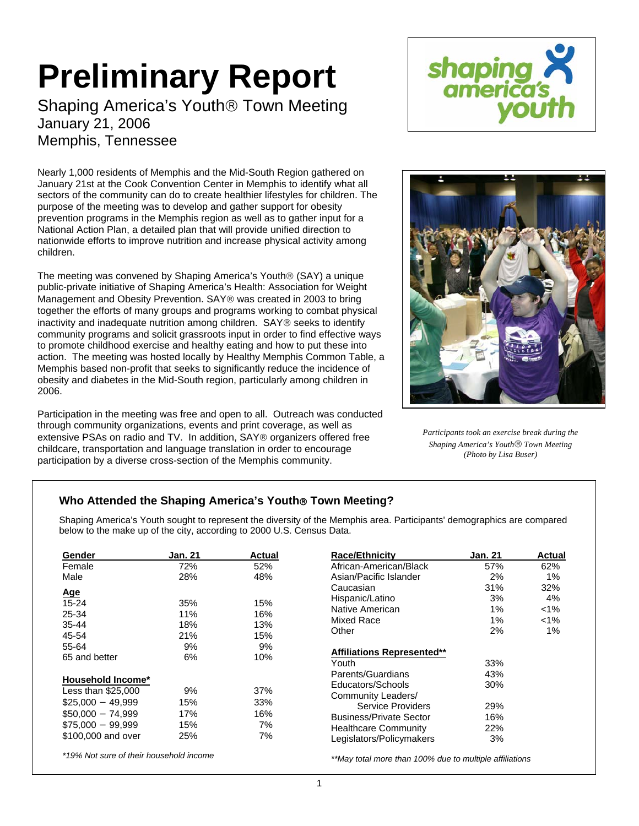# **Preliminary Report**

Shaping America's Youth® Town Meeting January 21, 2006 Memphis, Tennessee

Nearly 1,000 residents of Memphis and the Mid-South Region gathered on January 21st at the Cook Convention Center in Memphis to identify what all sectors of the community can do to create healthier lifestyles for children. The purpose of the meeting was to develop and gather support for obesity prevention programs in the Memphis region as well as to gather input for a National Action Plan, a detailed plan that will provide unified direction to nationwide efforts to improve nutrition and increase physical activity among children.

The meeting was convened by Shaping America's Youth® (SAY) a unique public-private initiative of Shaping America's Health: Association for Weight Management and Obesity Prevention. SAY® was created in 2003 to bring together the efforts of many groups and programs working to combat physical inactivity and inadequate nutrition among children. SAY® seeks to identify community programs and solicit grassroots input in order to find effective ways to promote childhood exercise and healthy eating and how to put these into action. The meeting was hosted locally by Healthy Memphis Common Table, a Memphis based non-profit that seeks to significantly reduce the incidence of obesity and diabetes in the Mid-South region, particularly among children in 2006.

Participation in the meeting was free and open to all. Outreach was conducted through community organizations, events and print coverage, as well as extensive PSAs on radio and TV. In addition, SAY® organizers offered free childcare, transportation and language translation in order to encourage participation by a diverse cross-section of the Memphis community.





*Participants took an exercise break during the Shaping America's Youth*® *Town Meeting (Photo by Lisa Buser)*

# **Who Attended the Shaping America's Youth**® **Town Meeting?**

Shaping America's Youth sought to represent the diversity of the Memphis area. Participants' demographics are compared below to the make up of the city, according to 2000 U.S. Census Data.

| Gender                                  | Jan. 21 | <b>Actual</b>            | <b>Race/Ethnicity</b>                                   | <b>Jan. 21</b> | <b>Actual</b> |
|-----------------------------------------|---------|--------------------------|---------------------------------------------------------|----------------|---------------|
| Female                                  | 72%     | 52%                      | African-American/Black                                  | 57%            | 62%           |
| Male                                    | 28%     | 48%                      | Asian/Pacific Islander                                  | 2%             | 1%            |
|                                         |         |                          | Caucasian                                               | 31%            | 32%           |
| <u>Age</u><br>$15 - 24$                 | 35%     | 15%<br>16%<br>13%<br>15% | Hispanic/Latino                                         | 3%             | 4%            |
| 25-34                                   | 11%     |                          | Native American                                         | 1%             | $1\%$         |
| $35 - 44$                               | 18%     |                          | Mixed Race<br>Other                                     | 1%             | $1\%$         |
| 45-54                                   | 21%     |                          |                                                         | 2%             | 1%            |
| 55-64                                   | 9%      | 9%<br>10%                |                                                         |                |               |
| 65 and better                           | 6%      |                          | <b>Affiliations Represented**</b><br>Youth              | 33%            |               |
|                                         |         |                          | Parents/Guardians                                       | 43%            |               |
| Household Income*<br>Less than \$25,000 | 9%      | 37%                      | Educators/Schools<br>Community Leaders/                 | 30%            |               |
| $$25,000 - 49,999$                      | 15%     | 33%                      | Service Providers                                       | 29%            |               |
| $$50.000 - 74.999$                      | 17%     | 16%                      | <b>Business/Private Sector</b>                          | 16%            |               |
| $$75.000 - 99.999$                      | 15%     | 7%                       | <b>Healthcare Community</b>                             | 22%            |               |
| \$100,000 and over                      | 25%     | 7%                       | Legislators/Policymakers                                | 3%             |               |
| *19% Not sure of their household income |         |                          | **May total more than 100% due to multiple affiliations |                |               |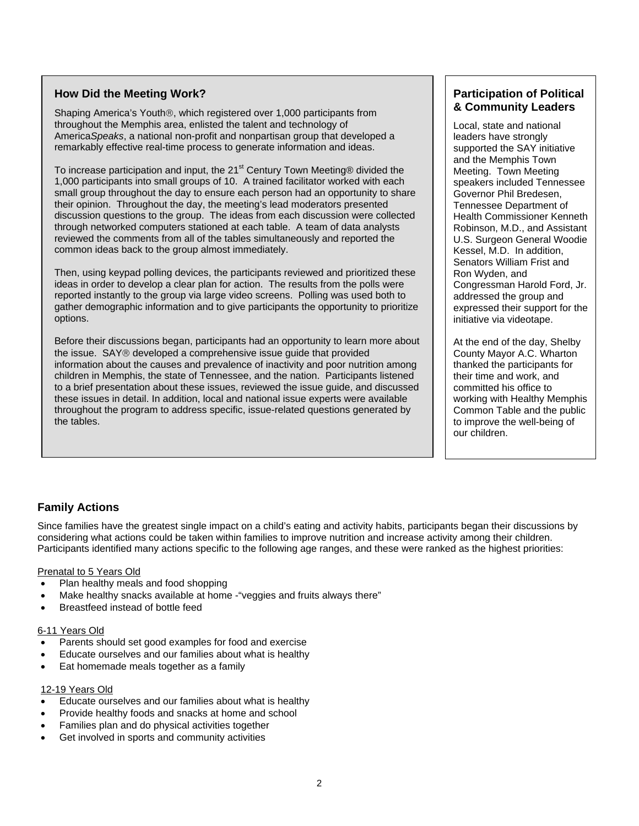## **How Did the Meeting Work?**

Shaping America's Youth®, which registered over 1,000 participants from throughout the Memphis area, enlisted the talent and technology of America*Speaks*, a national non-profit and nonpartisan group that developed a remarkably effective real-time process to generate information and ideas.

To increase participation and input, the  $21<sup>st</sup>$  Century Town Meeting® divided the 1,000 participants into small groups of 10. A trained facilitator worked with each small group throughout the day to ensure each person had an opportunity to share their opinion. Throughout the day, the meeting's lead moderators presented discussion questions to the group. The ideas from each discussion were collected through networked computers stationed at each table. A team of data analysts reviewed the comments from all of the tables simultaneously and reported the common ideas back to the group almost immediately.

Then, using keypad polling devices, the participants reviewed and prioritized these ideas in order to develop a clear plan for action. The results from the polls were reported instantly to the group via large video screens. Polling was used both to gather demographic information and to give participants the opportunity to prioritize options.

Before their discussions began, participants had an opportunity to learn more about the issue. SAY® developed a comprehensive issue guide that provided information about the causes and prevalence of inactivity and poor nutrition among children in Memphis, the state of Tennessee, and the nation. Participants listened to a brief presentation about these issues, reviewed the issue guide, and discussed these issues in detail. In addition, local and national issue experts were available throughout the program to address specific, issue-related questions generated by the tables.

# **Participation of Political & Community Leaders**

Local, state and national leaders have strongly supported the SAY initiative and the Memphis Town Meeting. Town Meeting speakers included Tennessee Governor Phil Bredesen, Tennessee Department of Health Commissioner Kenneth Robinson, M.D., and Assistant U.S. Surgeon General Woodie Kessel, M.D. In addition, Senators William Frist and Ron Wyden, and Congressman Harold Ford, Jr. addressed the group and expressed their support for the initiative via videotape.

At the end of the day, Shelby County Mayor A.C. Wharton thanked the participants for their time and work, and committed his office to working with Healthy Memphis Common Table and the public to improve the well-being of our children.

# **Family Actions**

Since families have the greatest single impact on a child's eating and activity habits, participants began their discussions by considering what actions could be taken within families to improve nutrition and increase activity among their children. Participants identified many actions specific to the following age ranges, and these were ranked as the highest priorities:

#### Prenatal to 5 Years Old

- Plan healthy meals and food shopping
- Make healthy snacks available at home "veggies and fruits always there"
- Breastfeed instead of bottle feed

#### 6-11 Years Old

- Parents should set good examples for food and exercise
- Educate ourselves and our families about what is healthy
- Eat homemade meals together as a family

### 12-19 Years Old

- Educate ourselves and our families about what is healthy
- Provide healthy foods and snacks at home and school
- Families plan and do physical activities together
- Get involved in sports and community activities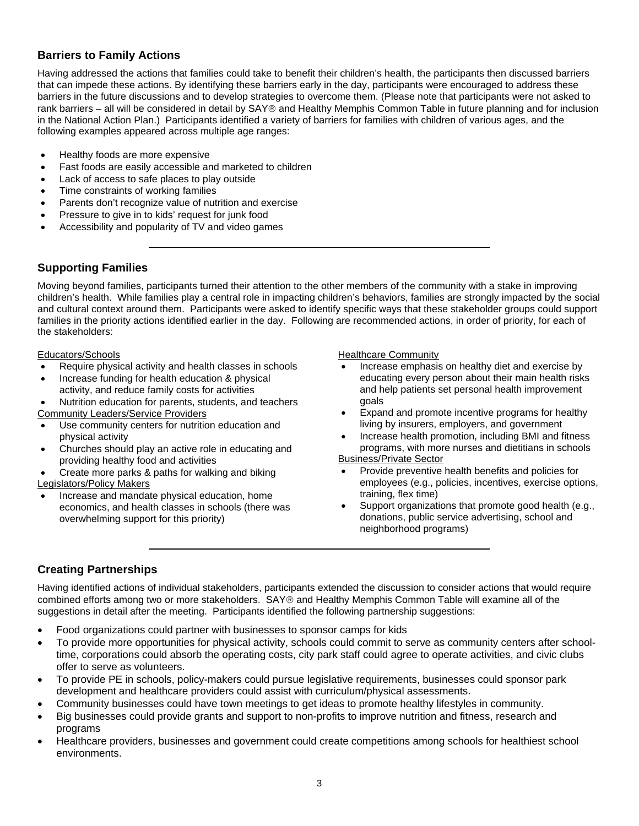# **Barriers to Family Actions**

Having addressed the actions that families could take to benefit their children's health, the participants then discussed barriers that can impede these actions. By identifying these barriers early in the day, participants were encouraged to address these barriers in the future discussions and to develop strategies to overcome them. (Please note that participants were not asked to rank barriers – all will be considered in detail by SAY® and Healthy Memphis Common Table in future planning and for inclusion in the National Action Plan.) Participants identified a variety of barriers for families with children of various ages, and the following examples appeared across multiple age ranges:

- Healthy foods are more expensive
- Fast foods are easily accessible and marketed to children
- Lack of access to safe places to play outside
- Time constraints of working families
- Parents don't recognize value of nutrition and exercise
- Pressure to give in to kids' request for junk food
- Accessibility and popularity of TV and video games

## **Supporting Families**

Moving beyond families, participants turned their attention to the other members of the community with a stake in improving children's health. While families play a central role in impacting children's behaviors, families are strongly impacted by the social and cultural context around them. Participants were asked to identify specific ways that these stakeholder groups could support families in the priority actions identified earlier in the day. Following are recommended actions, in order of priority, for each of the stakeholders:

#### Educators/Schools

- Require physical activity and health classes in schools
- Increase funding for health education & physical activity, and reduce family costs for activities
- Nutrition education for parents, students, and teachers Community Leaders/Service Providers
- Use community centers for nutrition education and physical activity
- Churches should play an active role in educating and providing healthy food and activities
- Create more parks & paths for walking and biking Legislators/Policy Makers
- Increase and mandate physical education, home economics, and health classes in schools (there was overwhelming support for this priority)

Healthcare Community

- Increase emphasis on healthy diet and exercise by educating every person about their main health risks and help patients set personal health improvement goals
- Expand and promote incentive programs for healthy living by insurers, employers, and government
- Increase health promotion, including BMI and fitness programs, with more nurses and dietitians in schools Business/Private Sector

- Provide preventive health benefits and policies for employees (e.g., policies, incentives, exercise options, training, flex time)
- Support organizations that promote good health (e.g., donations, public service advertising, school and neighborhood programs)

## **Creating Partnerships**

Having identified actions of individual stakeholders, participants extended the discussion to consider actions that would require combined efforts among two or more stakeholders. SAY® and Healthy Memphis Common Table will examine all of the suggestions in detail after the meeting. Participants identified the following partnership suggestions:

- Food organizations could partner with businesses to sponsor camps for kids
- To provide more opportunities for physical activity, schools could commit to serve as community centers after schooltime, corporations could absorb the operating costs, city park staff could agree to operate activities, and civic clubs offer to serve as volunteers.
- To provide PE in schools, policy-makers could pursue legislative requirements, businesses could sponsor park development and healthcare providers could assist with curriculum/physical assessments.
- Community businesses could have town meetings to get ideas to promote healthy lifestyles in community.
- Big businesses could provide grants and support to non-profits to improve nutrition and fitness, research and programs
- Healthcare providers, businesses and government could create competitions among schools for healthiest school environments.